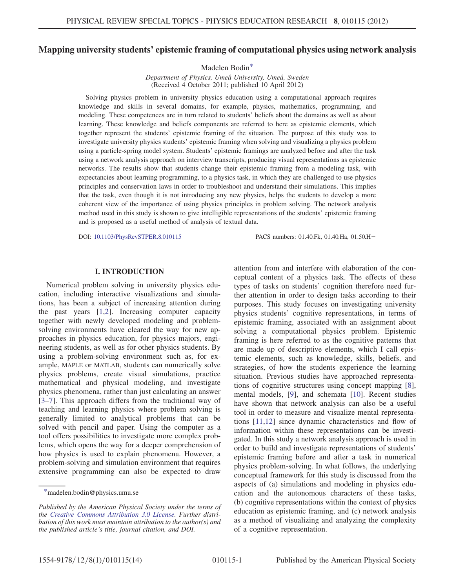# <span id="page-0-1"></span>Mapping university students' epistemic framing of computational physics using network analysis

Madelen Bodi[n\\*](#page-0-0)

Department of Physics, Umeå University, Umeå, Sweden (Received 4 October 2011; published 10 April 2012)

Solving physics problem in university physics education using a computational approach requires knowledge and skills in several domains, for example, physics, mathematics, programming, and modeling. These competences are in turn related to students' beliefs about the domains as well as about learning. These knowledge and beliefs components are referred to here as epistemic elements, which together represent the students' epistemic framing of the situation. The purpose of this study was to investigate university physics students' epistemic framing when solving and visualizing a physics problem using a particle-spring model system. Students' epistemic framings are analyzed before and after the task using a network analysis approach on interview transcripts, producing visual representations as epistemic networks. The results show that students change their epistemic framing from a modeling task, with expectancies about learning programming, to a physics task, in which they are challenged to use physics principles and conservation laws in order to troubleshoot and understand their simulations. This implies that the task, even though it is not introducing any new physics, helps the students to develop a more coherent view of the importance of using physics principles in problem solving. The network analysis method used in this study is shown to give intelligible representations of the students' epistemic framing and is proposed as a useful method of analysis of textual data.

DOI: [10.1103/PhysRevSTPER.8.010115](http://dx.doi.org/10.1103/PhysRevSTPER.8.010115) PACS numbers: 01.40.Fk, 01.40.Ha, 01.50.H

### I. INTRODUCTION

Numerical problem solving in university physics education, including interactive visualizations and simulations, has been a subject of increasing attention during the past years [\[1,](#page-12-0)[2](#page-12-1)]. Increasing computer capacity together with newly developed modeling and problemsolving environments have cleared the way for new approaches in physics education, for physics majors, engineering students, as well as for other physics students. By using a problem-solving environment such as, for example, MAPLE or MATLAB, students can numerically solve physics problems, create visual simulations, practice mathematical and physical modeling, and investigate physics phenomena, rather than just calculating an answer [\[3–](#page-12-2)[7](#page-12-3)]. This approach differs from the traditional way of teaching and learning physics where problem solving is generally limited to analytical problems that can be solved with pencil and paper. Using the computer as a tool offers possibilities to investigate more complex problems, which opens the way for a deeper comprehension of how physics is used to explain phenomena. However, a problem-solving and simulation environment that requires extensive programming can also be expected to draw

attention from and interfere with elaboration of the conceptual content of a physics task. The effects of these types of tasks on students' cognition therefore need further attention in order to design tasks according to their purposes. This study focuses on investigating university physics students' cognitive representations, in terms of epistemic framing, associated with an assignment about solving a computational physics problem. Epistemic framing is here referred to as the cognitive patterns that are made up of descriptive elements, which I call epistemic elements, such as knowledge, skills, beliefs, and strategies, of how the students experience the learning situation. Previous studies have approached representations of cognitive structures using concept mapping [[8\]](#page-12-4), mental models, [\[9\]](#page-12-5), and schemata [[10](#page-12-6)]. Recent studies have shown that network analysis can also be a useful tool in order to measure and visualize mental representations [[11](#page-12-7),[12](#page-12-8)] since dynamic characteristics and flow of information within these representations can be investigated. In this study a network analysis approach is used in order to build and investigate representations of students' epistemic framing before and after a task in numerical physics problem-solving. In what follows, the underlying conceptual framework for this study is discussed from the aspects of (a) simulations and modeling in physics education and the autonomous characters of these tasks, (b) cognitive representations within the context of physics education as epistemic framing, and (c) network analysis as a method of visualizing and analyzing the complexity of a cognitive representation.

<span id="page-0-0"></span>[<sup>\\*</sup>m](#page-0-1)adelen.bodin@physics.umu.se

Published by the American Physical Society under the terms of the [Creative Commons Attribution 3.0 License.](http://creativecommons.org/licenses/by/3.0/) Further distribution of this work must maintain attribution to the author(s) and the published article's title, journal citation, and DOI.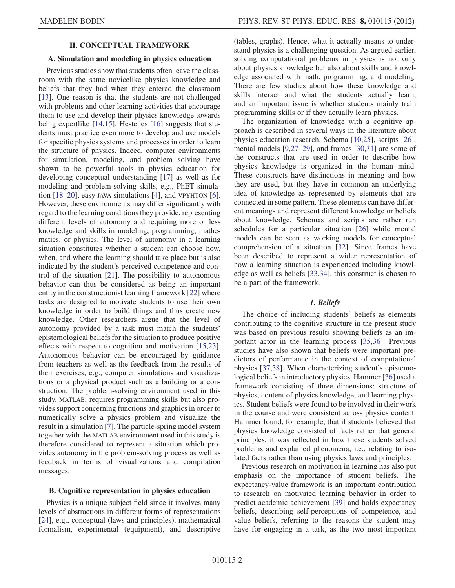### II. CONCEPTUAL FRAMEWORK

### A. Simulation and modeling in physics education

Previous studies show that students often leave the classroom with the same novicelike physics knowledge and beliefs that they had when they entered the classroom [\[13\]](#page-12-9). One reason is that the students are not challenged with problems and other learning activities that encourage them to use and develop their physics knowledge towards being expertlike [[14](#page-12-10),[15](#page-12-11)]. Hestenes [[16](#page-12-12)] suggests that students must practice even more to develop and use models for specific physics systems and processes in order to learn the structure of physics. Indeed, computer environments for simulation, modeling, and problem solving have shown to be powerful tools in physics education for developing conceptual understanding [[17](#page-12-13)] as well as for modeling and problem-solving skills, e.g., PhET simulation [[18](#page-12-14)[–20\]](#page-12-15), easy JAVA simulations [\[4\]](#page-12-16), and VPYHTON [[6\]](#page-12-17). However, these environments may differ significantly with regard to the learning conditions they provide, representing different levels of autonomy and requiring more or less knowledge and skills in modeling, programming, mathematics, or physics. The level of autonomy in a learning situation constitutes whether a student can choose how, when, and where the learning should take place but is also indicated by the student's perceived competence and control of the situation [\[21\]](#page-12-18). The possibility to autonomous behavior can thus be considered as being an important entity in the constructionist learning framework [\[22\]](#page-12-19) where tasks are designed to motivate students to use their own knowledge in order to build things and thus create new knowledge. Other researchers argue that the level of autonomy provided by a task must match the students' epistemological beliefs for the situation to produce positive effects with respect to cognition and motivation [\[15](#page-12-11)[,23\]](#page-12-20). Autonomous behavior can be encouraged by guidance from teachers as well as the feedback from the results of their exercises, e.g., computer simulations and visualizations or a physical product such as a building or a construction. The problem-solving environment used in this study, MATLAB, requires programming skills but also provides support concerning functions and graphics in order to numerically solve a physics problem and visualize the result in a simulation [\[7\]](#page-12-3). The particle-spring model system together with the MATLAB environment used in this study is therefore considered to represent a situation which provides autonomy in the problem-solving process as well as feedback in terms of visualizations and compilation messages.

### B. Cognitive representation in physics education

Physics is a unique subject field since it involves many levels of abstractions in different forms of representations [\[24\]](#page-12-21), e.g., conceptual (laws and principles), mathematical formalism, experimental (equipment), and descriptive (tables, graphs). Hence, what it actually means to understand physics is a challenging question. As argued earlier, solving computational problems in physics is not only about physics knowledge but also about skills and knowledge associated with math, programming, and modeling. There are few studies about how these knowledge and skills interact and what the students actually learn, and an important issue is whether students mainly train programming skills or if they actually learn physics.

The organization of knowledge with a cognitive approach is described in several ways in the literature about physics education research. Schema [[10](#page-12-6),[25](#page-12-22)], scripts [[26\]](#page-12-23), mental models [[9](#page-12-5)[,27–](#page-12-24)[29\]](#page-12-25), and frames [\[30,](#page-12-26)[31\]](#page-12-27) are some of the constructs that are used in order to describe how physics knowledge is organized in the human mind. These constructs have distinctions in meaning and how they are used, but they have in common an underlying idea of knowledge as represented by elements that are connected in some pattern. These elements can have different meanings and represent different knowledge or beliefs about knowledge. Schemas and scripts are rather run schedules for a particular situation [\[26\]](#page-12-23) while mental models can be seen as working models for conceptual comprehension of a situation [[32](#page-12-28)]. Since frames have been described to represent a wider representation of how a learning situation is experienced including knowledge as well as beliefs [\[33,](#page-12-29)[34\]](#page-12-30), this construct is chosen to be a part of the framework.

# 1. Beliefs

The choice of including students' beliefs as elements contributing to the cognitive structure in the present study was based on previous results showing beliefs as an important actor in the learning process [[35](#page-12-31),[36](#page-12-32)]. Previous studies have also shown that beliefs were important predictors of performance in the context of computational physics [\[37](#page-13-0)[,38\]](#page-13-1). When characterizing student's epistemological beliefs in introductory physics, Hammer [\[36\]](#page-12-32) used a framework consisting of three dimensions: structure of physics, content of physics knowledge, and learning physics. Student beliefs were found to be involved in their work in the course and were consistent across physics content. Hammer found, for example, that if students believed that physics knowledge consisted of facts rather that general principles, it was reflected in how these students solved problems and explained phenomena, i.e., relating to isolated facts rather than using physics laws and principles.

Previous research on motivation in learning has also put emphasis on the importance of student beliefs. The expectancy-value framework is an important contribution to research on motivated learning behavior in order to predict academic achievement [[39](#page-13-2)] and holds expectancy beliefs, describing self-perceptions of competence, and value beliefs, referring to the reasons the student may have for engaging in a task, as the two most important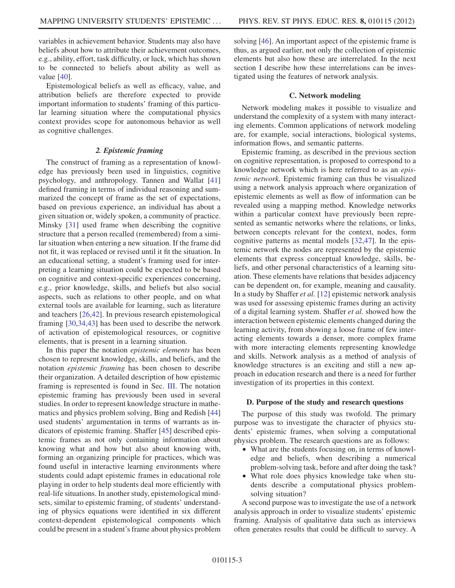variables in achievement behavior. Students may also have beliefs about how to attribute their achievement outcomes, e.g., ability, effort, task difficulty, or luck, which has shown to be connected to beliefs about ability as well as value [[40](#page-13-3)].

Epistemological beliefs as well as efficacy, value, and attribution beliefs are therefore expected to provide important information to students' framing of this particular learning situation where the computational physics context provides scope for autonomous behavior as well as cognitive challenges.

### 2. Epistemic framing

The construct of framing as a representation of knowledge has previously been used in linguistics, cognitive psychology, and anthropology. Tannen and Wallat [\[41\]](#page-13-4) defined framing in terms of individual reasoning and summarized the concept of frame as the set of expectations, based on previous experience, an individual has about a given situation or, widely spoken, a community of practice. Minsky [\[31\]](#page-12-27) used frame when describing the cognitive structure that a person recalled (remembered) from a similar situation when entering a new situation. If the frame did not fit, it was replaced or revised until it fit the situation. In an educational setting, a student's framing used for interpreting a learning situation could be expected to be based on cognitive and context-specific experiences concerning, e.g., prior knowledge, skills, and beliefs but also social aspects, such as relations to other people, and on what external tools are available for learning, such as literature and teachers [\[26,](#page-12-23)[42\]](#page-13-5). In previous research epistemological framing [[30](#page-12-26),[34](#page-12-30),[43](#page-13-6)] has been used to describe the network of activation of epistemological resources, or cognitive elements, that is present in a learning situation.

In this paper the notation epistemic elements has been chosen to represent knowledge, skills, and beliefs, and the notation epistemic framing has been chosen to describe their organization. A detailed description of how epistemic framing is represented is found in Sec. III. The notation epistemic framing has previously been used in several studies. In order to represent knowledge structure in mathematics and physics problem solving, Bing and Redish [\[44\]](#page-13-7) used students' argumentation in terms of warrants as indicators of epistemic framing. Shaffer [\[45\]](#page-13-8) described epistemic frames as not only containing information about knowing what and how but also about knowing with, forming an organizing principle for practices, which was found useful in interactive learning environments where students could adapt epistemic frames in educational role playing in order to help students deal more efficiently with real-life situations. In another study, epistemological mindsets, similar to epistemic framing, of students' understanding of physics equations were identified in six different context-dependent epistemological components which could be present in a student's frame about physics problem solving [[46](#page-13-9)]. An important aspect of the epistemic frame is thus, as argued earlier, not only the collection of epistemic elements but also how these are interrelated. In the next section I describe how these interrelations can be investigated using the features of network analysis.

### C. Network modeling

Network modeling makes it possible to visualize and understand the complexity of a system with many interacting elements. Common applications of network modeling are, for example, social interactions, biological systems, information flows, and semantic patterns.

Epistemic framing, as described in the previous section on cognitive representation, is proposed to correspond to a knowledge network which is here referred to as an epistemic network. Epistemic framing can thus be visualized using a network analysis approach where organization of epistemic elements as well as flow of information can be revealed using a mapping method. Knowledge networks within a particular context have previously been represented as semantic networks where the relations, or links, between concepts relevant for the context, nodes, form cognitive patterns as mental models [\[32,](#page-12-28)[47\]](#page-13-10). In the epistemic network the nodes are represented by the epistemic elements that express conceptual knowledge, skills, beliefs, and other personal characteristics of a learning situation. These elements have relations that besides adjacency can be dependent on, for example, meaning and causality. In a study by Shaffer et al. [[12](#page-12-8)] epistemic network analysis was used for assessing epistemic frames during an activity of a digital learning system. Shaffer et al. showed how the interaction between epistemic elements changed during the learning activity, from showing a loose frame of few interacting elements towards a denser, more complex frame with more interacting elements representing knowledge and skills. Network analysis as a method of analysis of knowledge structures is an exciting and still a new approach in education research and there is a need for further investigation of its properties in this context.

#### D. Purpose of the study and research questions

The purpose of this study was twofold. The primary purpose was to investigate the character of physics students' epistemic frames, when solving a computational physics problem. The research questions are as follows:

- What are the students focusing on, in terms of knowledge and beliefs, when describing a numerical problem-solving task, before and after doing the task?
- What role does physics knowledge take when students describe a computational physics problemsolving situation?

A second purpose was to investigate the use of a network analysis approach in order to visualize students' epistemic framing. Analysis of qualitative data such as interviews often generates results that could be difficult to survey. A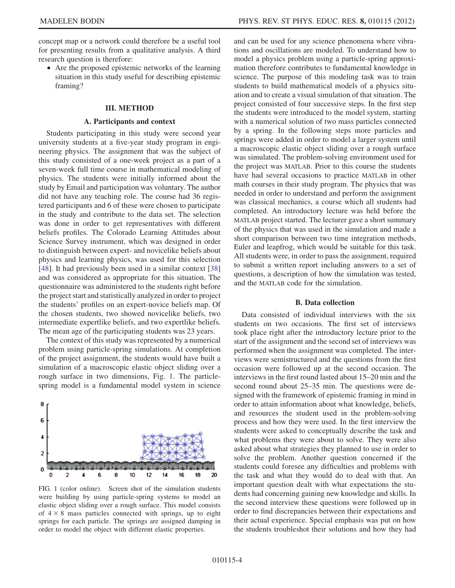concept map or a network could therefore be a useful tool for presenting results from a qualitative analysis. A third research question is therefore:

• Are the proposed epistemic networks of the learning situation in this study useful for describing epistemic framing?

### III. METHOD

# A. Participants and context

Students participating in this study were second year university students at a five-year study program in engineering physics. The assignment that was the subject of this study consisted of a one-week project as a part of a seven-week full time course in mathematical modeling of physics. The students were initially informed about the study by Email and participation was voluntary. The author did not have any teaching role. The course had 36 registered participants and 6 of these were chosen to participate in the study and contribute to the data set. The selection was done in order to get representatives with different beliefs profiles. The Colorado Learning Attitudes about Science Survey instrument, which was designed in order to distinguish between expert- and novicelike beliefs about physics and learning physics, was used for this selection [\[48\]](#page-13-11). It had previously been used in a similar context [\[38\]](#page-13-1) and was considered as appropriate for this situation. The questionnaire was administered to the students right before the project start and statistically analyzed in order to project the students' profiles on an expert-novice beliefs map. Of the chosen students, two showed novicelike beliefs, two intermediate expertlike beliefs, and two expertlike beliefs. The mean age of the participating students was 23 years.

The context of this study was represented by a numerical problem using particle-spring simulations. At completion of the project assignment, the students would have built a simulation of a macroscopic elastic object sliding over a rough surface in two dimensions, Fig. [1.](#page-3-0) The particlespring model is a fundamental model system in science

<span id="page-3-0"></span>

FIG. 1 (color online). Screen shot of the simulation students were building by using particle-spring systems to model an elastic object sliding over a rough surface. This model consists of  $4 \times 8$  mass particles connected with springs, up to eight springs for each particle. The springs are assigned damping in order to model the object with different elastic properties.

and can be used for any science phenomena where vibrations and oscillations are modeled. To understand how to model a physics problem using a particle-spring approximation therefore contributes to fundamental knowledge in science. The purpose of this modeling task was to train students to build mathematical models of a physics situation and to create a visual simulation of that situation. The project consisted of four successive steps. In the first step the students were introduced to the model system, starting with a numerical solution of two mass particles connected by a spring. In the following steps more particles and springs were added in order to model a larger system until a macroscopic elastic object sliding over a rough surface was simulated. The problem-solving environment used for the project was MATLAB. Prior to this course the students have had several occasions to practice MATLAB in other math courses in their study program. The physics that was needed in order to understand and perform the assignment was classical mechanics, a course which all students had completed. An introductory lecture was held before the MATLAB project started. The lecturer gave a short summary of the physics that was used in the simulation and made a short comparison between two time integration methods, Euler and leapfrog, which would be suitable for this task. All students were, in order to pass the assignment, required to submit a written report including answers to a set of questions, a description of how the simulation was tested, and the MATLAB code for the simulation.

# B. Data collection

Data consisted of individual interviews with the six students on two occasions. The first set of interviews took place right after the introductory lecture prior to the start of the assignment and the second set of interviews was performed when the assignment was completed. The interviews were semistructured and the questions from the first occasion were followed up at the second occasion. The interviews in the first round lasted about 15–20 min and the second round about 25–35 min. The questions were designed with the framework of epistemic framing in mind in order to attain information about what knowledge, beliefs, and resources the student used in the problem-solving process and how they were used. In the first interview the students were asked to conceptually describe the task and what problems they were about to solve. They were also asked about what strategies they planned to use in order to solve the problem. Another question concerned if the students could foresee any difficulties and problems with the task and what they would do to deal with that. An important question dealt with what expectations the students had concerning gaining new knowledge and skills. In the second interview these questions were followed up in order to find discrepancies between their expectations and their actual experience. Special emphasis was put on how the students troubleshot their solutions and how they had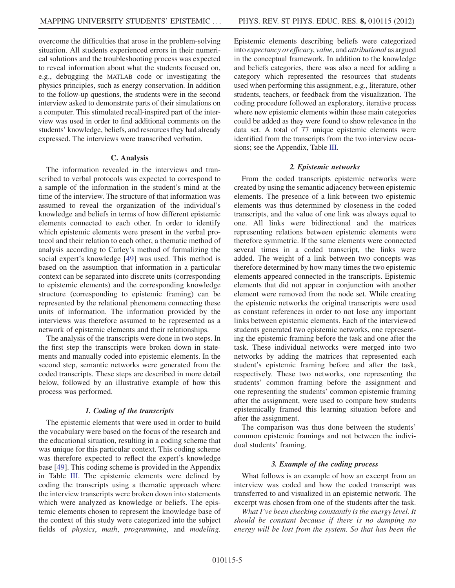overcome the difficulties that arose in the problem-solving situation. All students experienced errors in their numerical solutions and the troubleshooting process was expected to reveal information about what the students focused on, e.g., debugging the MATLAB code or investigating the physics principles, such as energy conservation. In addition to the follow-up questions, the students were in the second interview asked to demonstrate parts of their simulations on a computer. This stimulated recall-inspired part of the interview was used in order to find additional comments on the students' knowledge, beliefs, and resources they had already expressed. The interviews were transcribed verbatim.

#### C. Analysis

The information revealed in the interviews and transcribed to verbal protocols was expected to correspond to a sample of the information in the student's mind at the time of the interview. The structure of that information was assumed to reveal the organization of the individual's knowledge and beliefs in terms of how different epistemic elements connected to each other. In order to identify which epistemic elements were present in the verbal protocol and their relation to each other, a thematic method of analysis according to Carley's method of formalizing the social expert's knowledge [[49](#page-13-12)] was used. This method is based on the assumption that information in a particular context can be separated into discrete units (corresponding to epistemic elements) and the corresponding knowledge structure (corresponding to epistemic framing) can be represented by the relational phenomena connecting these units of information. The information provided by the interviews was therefore assumed to be represented as a network of epistemic elements and their relationships.

The analysis of the transcripts were done in two steps. In the first step the transcripts were broken down in statements and manually coded into epistemic elements. In the second step, semantic networks were generated from the coded transcripts. These steps are described in more detail below, followed by an illustrative example of how this process was performed.

# 1. Coding of the transcripts

The epistemic elements that were used in order to build the vocabulary were based on the focus of the research and the educational situation, resulting in a coding scheme that was unique for this particular context. This coding scheme was therefore expected to reflect the expert's knowledge base [\[49\]](#page-13-12). This coding scheme is provided in the Appendix in Table [III](#page-10-0). The epistemic elements were defined by coding the transcripts using a thematic approach where the interview transcripts were broken down into statements which were analyzed as knowledge or beliefs. The epistemic elements chosen to represent the knowledge base of the context of this study were categorized into the subject fields of physics, math, programming, and modeling. Epistemic elements describing beliefs were categorized into expectancy or efficacy, value, and attributional as argued in the conceptual framework. In addition to the knowledge and beliefs categories, there was also a need for adding a category which represented the resources that students used when performing this assignment, e.g., literature, other students, teachers, or feedback from the visualization. The coding procedure followed an exploratory, iterative process where new epistemic elements within these main categories could be added as they were found to show relevance in the data set. A total of 77 unique epistemic elements were identified from the transcripts from the two interview occasions; see the Appendix, Table [III](#page-10-0).

### 2. Epistemic networks

From the coded transcripts epistemic networks were created by using the semantic adjacency between epistemic elements. The presence of a link between two epistemic elements was thus determined by closeness in the coded transcripts, and the value of one link was always equal to one. All links were bidirectional and the matrices representing relations between epistemic elements were therefore symmetric. If the same elements were connected several times in a coded transcript, the links were added. The weight of a link between two concepts was therefore determined by how many times the two epistemic elements appeared connected in the transcripts. Epistemic elements that did not appear in conjunction with another element were removed from the node set. While creating the epistemic networks the original transcripts were used as constant references in order to not lose any important links between epistemic elements. Each of the interviewed students generated two epistemic networks, one representing the epistemic framing before the task and one after the task. These individual networks were merged into two networks by adding the matrices that represented each student's epistemic framing before and after the task, respectively. These two networks, one representing the students' common framing before the assignment and one representing the students' common epistemic framing after the assignment, were used to compare how students epistemically framed this learning situation before and after the assignment.

The comparison was thus done between the students' common epistemic framings and not between the individual students' framing.

#### 3. Example of the coding process

What follows is an example of how an excerpt from an interview was coded and how the coded transcript was transferred to and visualized in an epistemic network. The excerpt was chosen from one of the students after the task.

What I've been checking constantly is the energy level. It should be constant because if there is no damping no energy will be lost from the system. So that has been the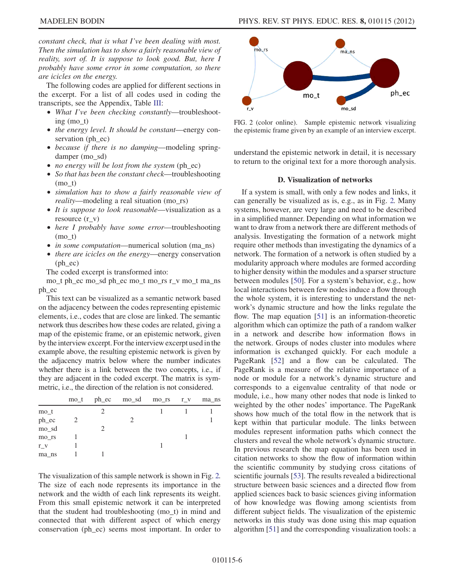constant check, that is what I've been dealing with most. Then the simulation has to show a fairly reasonable view of reality, sort of. It is suppose to look good. But, here I probably have some error in some computation, so there are icicles on the energy.

The following codes are applied for different sections in the excerpt. For a list of all codes used in coding the transcripts, see the Appendix, Table [III](#page-10-0):

- What I've been checking constantly--troubleshooting (mo\_t)
- the energy level. It should be constant-energy conservation (ph\_ec)
- because if there is no damping—modeling springdamper (mo\_sd)
- no energy will be lost from the system (ph\_ec)
- $\bullet$ So that has been the constant check—troubleshooting  $(mo_t)$
- simulation has to show a fairly reasonable view of reality—modeling a real situation (mo\_rs)
- It is suppose to look reasonable—visualization as a resource (r\_v)
- here I probably have some error---troubleshooting  $(mo_t)$
- *in some computation*—numerical solution (ma\_ns)
- there are icicles on the energy—energy conservation  $(\text{ph}\,\text{ec})$

The coded excerpt is transformed into:

mo\_t ph\_ec mo\_sd ph\_ec mo\_t mo\_rs r\_v mo\_t ma\_ns ph\_ec

This text can be visualized as a semantic network based on the adjacency between the codes representing epistemic elements, i.e., codes that are close are linked. The semantic network thus describes how these codes are related, giving a map of the epistemic frame, or an epistemic network, given by the interview excerpt. For the interview excerpt used inthe example above, the resulting epistemic network is given by the adjacency matrix below where the number indicates whether there is a link between the two concepts, i.e., if they are adjacent in the coded excerpt. The matrix is symmetric, i.e., the direction of the relation is not considered.

|       | $\text{mo}$ <sub>t</sub> | ph_ec | mo_sd | mo rs r v | ma ns |
|-------|--------------------------|-------|-------|-----------|-------|
| mo_t  |                          |       |       |           |       |
| ph_ec | $\mathbf{2}$             |       |       |           |       |
| mo_sd |                          |       |       |           |       |
| mo_rs |                          |       |       |           |       |
| r v   |                          |       |       |           |       |
| ma ns |                          |       |       |           |       |

The visualization of this sample network is shown in Fig. [2.](#page-5-0) The size of each node represents its importance in the network and the width of each link represents its weight. From this small epistemic network it can be interpreted that the student had troubleshooting (mo\_t) in mind and connected that with different aspect of which energy conservation (ph\_ec) seems most important. In order to

<span id="page-5-0"></span>

FIG. 2 (color online). Sample epistemic network visualizing the epistemic frame given by an example of an interview excerpt.

understand the epistemic network in detail, it is necessary to return to the original text for a more thorough analysis.

#### D. Visualization of networks

If a system is small, with only a few nodes and links, it can generally be visualized as is, e.g., as in Fig. [2.](#page-5-0) Many systems, however, are very large and need to be described in a simplified manner. Depending on what information we want to draw from a network there are different methods of analysis. Investigating the formation of a network might require other methods than investigating the dynamics of a network. The formation of a network is often studied by a modularity approach where modules are formed according to higher density within the modules and a sparser structure between modules [\[50\]](#page-13-13). For a system's behavior, e.g., how local interactions between few nodes induce a flow through the whole system, it is interesting to understand the network's dynamic structure and how the links regulate the flow. The map equation [[51\]](#page-13-14) is an information-theoretic algorithm which can optimize the path of a random walker in a network and describe how information flows in the network. Groups of nodes cluster into modules where information is exchanged quickly. For each module a PageRank [\[52\]](#page-13-15) and a flow can be calculated. The PageRank is a measure of the relative importance of a node or module for a network's dynamic structure and corresponds to a eigenvalue centrality of that node or module, i.e., how many other nodes that node is linked to weighted by the other nodes' importance. The PageRank shows how much of the total flow in the network that is kept within that particular module. The links between modules represent information paths which connect the clusters and reveal the whole network's dynamic structure. In previous research the map equation has been used in citation networks to show the flow of information within the scientific community by studying cross citations of scientific journals [[53](#page-13-16)]. The results revealed a bidirectional structure between basic sciences and a directed flow from applied sciences back to basic sciences giving information of how knowledge was flowing among scientists from different subject fields. The visualization of the epistemic networks in this study was done using this map equation algorithm [[51](#page-13-14)] and the corresponding visualization tools: a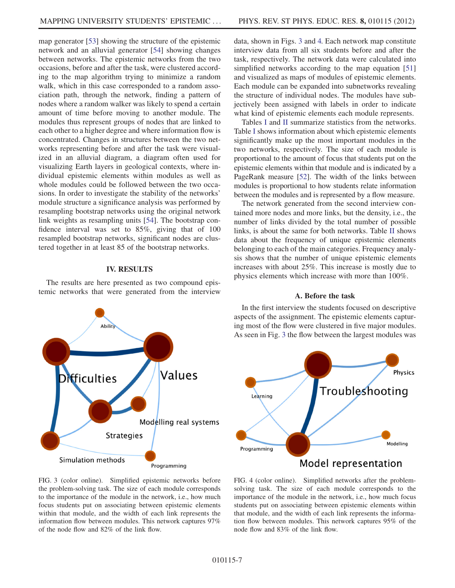map generator [[53](#page-13-16)] showing the structure of the epistemic network and an alluvial generator [\[54\]](#page-13-17) showing changes between networks. The epistemic networks from the two occasions, before and after the task, were clustered according to the map algorithm trying to minimize a random walk, which in this case corresponded to a random association path, through the network, finding a pattern of nodes where a random walker was likely to spend a certain amount of time before moving to another module. The modules thus represent groups of nodes that are linked to each other to a higher degree and where information flow is concentrated. Changes in structures between the two networks representing before and after the task were visualized in an alluvial diagram, a diagram often used for visualizing Earth layers in geological contexts, where individual epistemic elements within modules as well as whole modules could be followed between the two occasions. In order to investigate the stability of the networks' module structure a significance analysis was performed by resampling bootstrap networks using the original network link weights as resampling units [[54](#page-13-17)]. The bootstrap confidence interval was set to 85%, giving that of 100 resampled bootstrap networks, significant nodes are clustered together in at least 85 of the bootstrap networks.

### IV. RESULTS

<span id="page-6-0"></span>The results are here presented as two compound epistemic networks that were generated from the interview

Ability



data, shown in Figs. [3](#page-6-0) and [4.](#page-6-1) Each network map constitute interview data from all six students before and after the task, respectively. The network data were calculated into simplified networks according to the map equation [\[51\]](#page-13-14) and visualized as maps of modules of epistemic elements. Each module can be expanded into subnetworks revealing the structure of individual nodes. The modules have subjectively been assigned with labels in order to indicate what kind of epistemic elements each module represents.

Tables [I](#page-7-0) and [II](#page-7-1) summarize statistics from the networks. Table [I](#page-7-0) shows information about which epistemic elements significantly make up the most important modules in the two networks, respectively. The size of each module is proportional to the amount of focus that students put on the epistemic elements within that module and is indicated by a PageRank measure [\[52](#page-13-15)]. The width of the links between modules is proportional to how students relate information between the modules and is represented by a flow measure.

The network generated from the second interview contained more nodes and more links, but the density, i.e., the number of links divided by the total number of possible links, is about the same for both networks. Table [II](#page-7-1) shows data about the frequency of unique epistemic elements belonging to each of the main categories. Frequency analysis shows that the number of unique epistemic elements increases with about 25%. This increase is mostly due to physics elements which increase with more than 100%.

#### A. Before the task

In the first interview the students focused on descriptive aspects of the assignment. The epistemic elements capturing most of the flow were clustered in five major modules. As seen in Fig. [3](#page-6-0) the flow between the largest modules was

<span id="page-6-1"></span>

FIG. 3 (color online). Simplified epistemic networks before the problem-solving task. The size of each module corresponds to the importance of the module in the network, i.e., how much focus students put on associating between epistemic elements within that module, and the width of each link represents the information flow between modules. This network captures 97% of the node flow and 82% of the link flow.

FIG. 4 (color online). Simplified networks after the problemsolving task. The size of each module corresponds to the importance of the module in the network, i.e., how much focus students put on associating between epistemic elements within that module, and the width of each link represents the information flow between modules. This network captures 95% of the node flow and 83% of the link flow.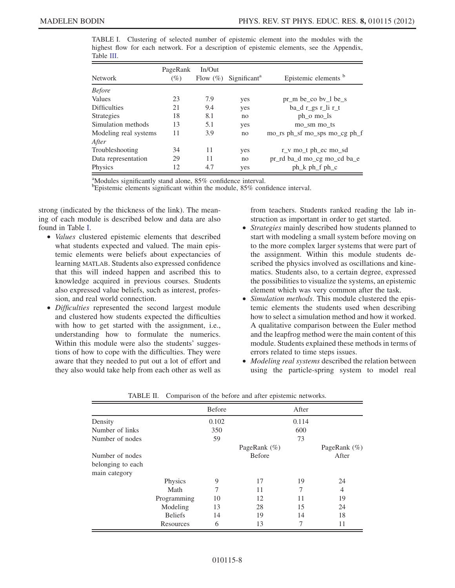| <b>Network</b>        | PageRank<br>$(\%)$ | In/Out<br>Flow $(\%)$ | Significant <sup>a</sup> | Epistemic elements <sup>b</sup> |
|-----------------------|--------------------|-----------------------|--------------------------|---------------------------------|
| <b>Before</b>         |                    |                       |                          |                                 |
| Values                | 23                 | 7.9                   | yes                      | $pr_m$ be_co by_l be_s          |
| <b>Difficulties</b>   | 21                 | 9.4                   | yes                      | ba_d r_gs r_li r_t              |
| <b>Strategies</b>     | 18                 | 8.1                   | no                       | ph o mo ls                      |
| Simulation methods    | 13                 | 5.1                   | yes                      | mo sm mo ts                     |
| Modeling real systems | 11                 | 3.9                   | no                       | mo_rs ph_sf mo_sps mo_cg ph_f   |
| After                 |                    |                       |                          |                                 |
| Troubleshooting       | 34                 | 11                    | yes                      | r_v mo_t ph_ec mo_sd            |
| Data representation   | 29                 | 11                    | no                       | pr_rd ba_d mo_cg mo_cd ba_e     |
| Physics               | 12                 | 4.7                   | yes                      | $ph_k$ $ph_f$ $ph_c$            |

<span id="page-7-0"></span>

| TABLE I. Clustering of selected number of epistemic element into the modules with the     |  |  |  |  |  |
|-------------------------------------------------------------------------------------------|--|--|--|--|--|
| highest flow for each network. For a description of epistemic elements, see the Appendix, |  |  |  |  |  |
| Table III.                                                                                |  |  |  |  |  |

<sup>a</sup>Modules significantly stand alone, 85% confidence interval.

b Epistemic elements significant within the module, 85% confidence interval.

strong (indicated by the thickness of the link). The meaning of each module is described below and data are also found in Table [I](#page-7-0).

- Values clustered epistemic elements that described what students expected and valued. The main epistemic elements were beliefs about expectancies of learning MATLAB. Students also expressed confidence that this will indeed happen and ascribed this to knowledge acquired in previous courses. Students also expressed value beliefs, such as interest, profession, and real world connection.
- Difficulties represented the second largest module and clustered how students expected the difficulties with how to get started with the assignment, i.e., understanding how to formulate the numerics. Within this module were also the students' suggestions of how to cope with the difficulties. They were aware that they needed to put out a lot of effort and they also would take help from each other as well as

from teachers. Students ranked reading the lab instruction as important in order to get started.

- $\bullet$  Strategies mainly described how students planned to start with modeling a small system before moving on to the more complex larger systems that were part of the assignment. Within this module students described the physics involved as oscillations and kinematics. Students also, to a certain degree, expressed the possibilities to visualize the systems, an epistemic element which was very common after the task.
- Simulation methods. This module clustered the epistemic elements the students used when describing how to select a simulation method and how it worked. A qualitative comparison between the Euler method and the leapfrog method were the main content of this module. Students explained these methods in terms of errors related to time steps issues.
- Modeling real systems described the relation between using the particle-spring system to model real

<span id="page-7-1"></span>

|                   |                | <b>Before</b> |                 | After |                |
|-------------------|----------------|---------------|-----------------|-------|----------------|
| Density           |                | 0.102         |                 | 0.114 |                |
| Number of links   |                | 350           |                 | 600   |                |
| Number of nodes   |                | 59            |                 | 73    |                |
|                   |                |               | PageRank $(\%)$ |       | PageRank (%)   |
| Number of nodes   |                |               | Before          |       | After          |
| belonging to each |                |               |                 |       |                |
| main category     |                |               |                 |       |                |
|                   | Physics        | 9             | 17              | 19    | 24             |
|                   | Math           | 7             | 11              | 7     | $\overline{4}$ |
|                   | Programming    | 10            | 12              | 11    | 19             |
|                   | Modeling       | 13            | 28              | 15    | 24             |
|                   | <b>Beliefs</b> | 14            | 19              | 14    | 18             |
|                   | Resources      | 6             | 13              | 7     | 11             |

|  | TABLE II. Comparison of the before and after epistemic networks. |
|--|------------------------------------------------------------------|
|  |                                                                  |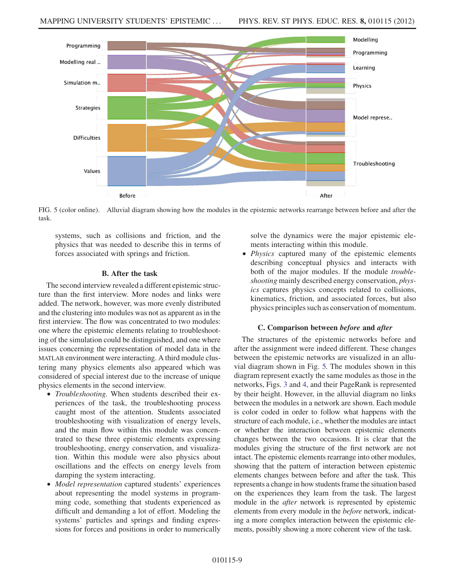<span id="page-8-0"></span>

FIG. 5 (color online). Alluvial diagram showing how the modules in the epistemic networks rearrange between before and after the task.

systems, such as collisions and friction, and the physics that was needed to describe this in terms of forces associated with springs and friction.

# B. After the task

The second interview revealed a different epistemic structure than the first interview. More nodes and links were added. The network, however, was more evenly distributed and the clustering into modules was not as apparent as in the first interview. The flow was concentrated to two modules: one where the epistemic elements relating to troubleshooting of the simulation could be distinguished, and one where issues concerning the representation of model data in the MATLAB environment were interacting. A third module clustering many physics elements also appeared which was considered of special interest due to the increase of unique physics elements in the second interview.

- Troubleshooting. When students described their experiences of the task, the troubleshooting process caught most of the attention. Students associated troubleshooting with visualization of energy levels, and the main flow within this module was concentrated to these three epistemic elements expressing troubleshooting, energy conservation, and visualization. Within this module were also physics about oscillations and the effects on energy levels from damping the system interacting.
- - Model representation captured students' experiences about representing the model systems in programming code, something that students experienced as difficult and demanding a lot of effort. Modeling the systems' particles and springs and finding expressions for forces and positions in order to numerically

solve the dynamics were the major epistemic elements interacting within this module.

- Physics captured many of the epistemic elements describing conceptual physics and interacts with both of the major modules. If the module troubleshooting mainly described energy conservation, *phys*ics captures physics concepts related to collisions, kinematics, friction, and associated forces, but also physics principles such as conservation of momentum.

#### C. Comparison between before and after

The structures of the epistemic networks before and after the assignment were indeed different. These changes between the epistemic networks are visualized in an alluvial diagram shown in Fig. [5.](#page-8-0) The modules shown in this diagram represent exactly the same modules as those in the networks, Figs. [3](#page-6-0) and [4](#page-6-1), and their PageRank is represented by their height. However, in the alluvial diagram no links between the modules in a network are shown. Each module is color coded in order to follow what happens with the structure of each module, i.e., whether the modules are intact or whether the interaction between epistemic elements changes between the two occasions. It is clear that the modules giving the structure of the first network are not intact. The epistemic elements rearrange into other modules, showing that the pattern of interaction between epistemic elements changes between before and after the task. This represents a change in how students frame the situation based on the experiences they learn from the task. The largest module in the after network is represented by epistemic elements from every module in the before network, indicating a more complex interaction between the epistemic elements, possibly showing a more coherent view of the task.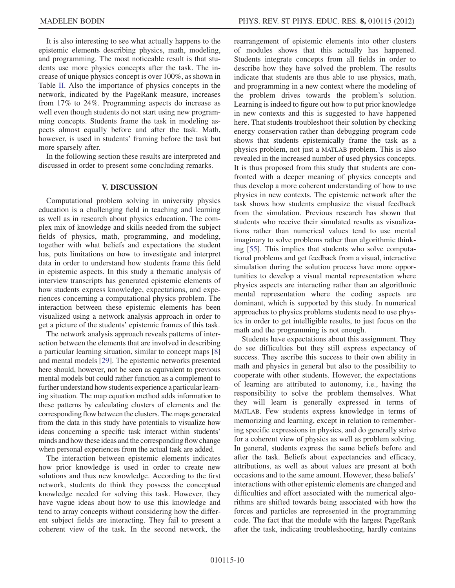It is also interesting to see what actually happens to the epistemic elements describing physics, math, modeling, and programming. The most noticeable result is that students use more physics concepts after the task. The increase of unique physics concept is over 100%, as shown in Table [II.](#page-7-1) Also the importance of physics concepts in the network, indicated by the PageRank measure, increases from 17% to 24%. Programming aspects do increase as well even though students do not start using new programming concepts. Students frame the task in modeling aspects almost equally before and after the task. Math, however, is used in students' framing before the task but more sparsely after.

In the following section these results are interpreted and discussed in order to present some concluding remarks.

### V. DISCUSSION

Computational problem solving in university physics education is a challenging field in teaching and learning as well as in research about physics education. The complex mix of knowledge and skills needed from the subject fields of physics, math, programming, and modeling, together with what beliefs and expectations the student has, puts limitations on how to investigate and interpret data in order to understand how students frame this field in epistemic aspects. In this study a thematic analysis of interview transcripts has generated epistemic elements of how students express knowledge, expectations, and experiences concerning a computational physics problem. The interaction between these epistemic elements has been visualized using a network analysis approach in order to get a picture of the students' epistemic frames of this task.

The network analysis approach reveals patterns of interaction between the elements that are involved in describing a particular learning situation, similar to concept maps [\[8\]](#page-12-4) and mental models [[29](#page-12-25)]. The epistemic networks presented here should, however, not be seen as equivalent to previous mental models but could rather function as a complement to further understand how students experience a particular learning situation. The map equation method adds information to these patterns by calculating clusters of elements and the corresponding flow between the clusters. The maps generated from the data in this study have potentials to visualize how ideas concerning a specific task interact within students' minds and how these ideas and the corresponding flow change when personal experiences from the actual task are added.

The interaction between epistemic elements indicates how prior knowledge is used in order to create new solutions and thus new knowledge. According to the first network, students do think they possess the conceptual knowledge needed for solving this task. However, they have vague ideas about how to use this knowledge and tend to array concepts without considering how the different subject fields are interacting. They fail to present a coherent view of the task. In the second network, the rearrangement of epistemic elements into other clusters of modules shows that this actually has happened. Students integrate concepts from all fields in order to describe how they have solved the problem. The results indicate that students are thus able to use physics, math, and programming in a new context where the modeling of the problem drives towards the problem's solution. Learning is indeed to figure out how to put prior knowledge in new contexts and this is suggested to have happened here. That students troubleshoot their solution by checking energy conservation rather than debugging program code shows that students epistemically frame the task as a physics problem, not just a MATLAB problem. This is also revealed in the increased number of used physics concepts. It is thus proposed from this study that students are confronted with a deeper meaning of physics concepts and thus develop a more coherent understanding of how to use physics in new contexts. The epistemic network after the task shows how students emphasize the visual feedback from the simulation. Previous research has shown that students who receive their simulated results as visualizations rather than numerical values tend to use mental imaginary to solve problems rather than algorithmic thinking [[55](#page-13-18)]. This implies that students who solve computational problems and get feedback from a visual, interactive simulation during the solution process have more opportunities to develop a visual mental representation where physics aspects are interacting rather than an algorithmic mental representation where the coding aspects are dominant, which is supported by this study. In numerical approaches to physics problems students need to use physics in order to get intelligible results, to just focus on the math and the programming is not enough.

Students have expectations about this assignment. They do see difficulties but they still express expectancy of success. They ascribe this success to their own ability in math and physics in general but also to the possibility to cooperate with other students. However, the expectations of learning are attributed to autonomy, i.e., having the responsibility to solve the problem themselves. What they will learn is generally expressed in terms of MATLAB. Few students express knowledge in terms of memorizing and learning, except in relation to remembering specific expressions in physics, and do generally strive for a coherent view of physics as well as problem solving. In general, students express the same beliefs before and after the task. Beliefs about expectancies and efficacy, attributions, as well as about values are present at both occasions and to the same amount. However, these beliefs' interactions with other epistemic elements are changed and difficulties and effort associated with the numerical algorithms are shifted towards being associated with how the forces and particles are represented in the programming code. The fact that the module with the largest PageRank after the task, indicating troubleshooting, hardly contains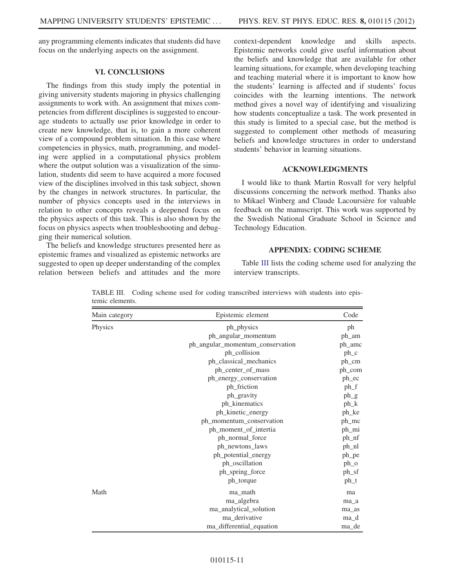any programming elements indicates that students did have focus on the underlying aspects on the assignment.

### VI. CONCLUSIONS

The findings from this study imply the potential in giving university students majoring in physics challenging assignments to work with. An assignment that mixes competencies from different disciplines is suggested to encourage students to actually use prior knowledge in order to create new knowledge, that is, to gain a more coherent view of a compound problem situation. In this case where competencies in physics, math, programming, and modeling were applied in a computational physics problem where the output solution was a visualization of the simulation, students did seem to have acquired a more focused view of the disciplines involved in this task subject, shown by the changes in network structures. In particular, the number of physics concepts used in the interviews in relation to other concepts reveals a deepened focus on the physics aspects of this task. This is also shown by the focus on physics aspects when troubleshooting and debugging their numerical solution.

The beliefs and knowledge structures presented here as epistemic frames and visualized as epistemic networks are suggested to open up deeper understanding of the complex relation between beliefs and attitudes and the more context-dependent knowledge and skills aspects. Epistemic networks could give useful information about the beliefs and knowledge that are available for other learning situations, for example, when developing teaching and teaching material where it is important to know how the students' learning is affected and if students' focus coincides with the learning intentions. The network method gives a novel way of identifying and visualizing how students conceptualize a task. The work presented in this study is limited to a special case, but the method is suggested to complement other methods of measuring beliefs and knowledge structures in order to understand students' behavior in learning situations.

# ACKNOWLEDGMENTS

I would like to thank Martin Rosvall for very helpful discussions concerning the network method. Thanks also to Mikael Winberg and Claude Lacoursière for valuable feedback on the manuscript. This work was supported by the Swedish National Graduate School in Science and Technology Education.

#### APPENDIX: CODING SCHEME

Table [III](#page-10-0) lists the coding scheme used for analyzing the interview transcripts.

| Main category | Epistemic element                | Code   |
|---------------|----------------------------------|--------|
| Physics       | ph_physics                       | ph     |
|               | ph_angular_momentum              | ph_am  |
|               | ph_angular_momentum_conservation | ph_amc |
|               | ph_collision                     | ph_c   |
|               | ph_classical_mechanics           | ph_cm  |
|               | ph_center_of_mass                | ph_com |
|               | ph_energy_conservation           | ph_ec  |
|               | ph_friction                      | ph_f   |
|               | ph_gravity                       | ph_g   |
|               | ph_kinematics                    | ph_k   |
|               | ph_kinetic_energy                | ph_ke  |
|               | ph_momentum_conservation         | ph_mc  |
|               | ph_moment_of_intertia            | ph_mi  |
|               | ph_normal_force                  | ph_nf  |
|               | ph_newtons_laws                  | ph_nl  |
|               | ph_potential_energy              | ph_pe  |
|               | ph_oscillation                   | ph_o   |
|               | ph_spring_force                  | ph_sf  |
|               | ph_torque                        | ph_t   |
| Math          | ma math                          | ma     |
|               | ma algebra                       | ma a   |
|               | ma_analytical_solution           | ma as  |
|               | ma_derivative                    | ma d   |
|               | ma_differential_equation         | ma_de  |

<span id="page-10-0"></span>TABLE III. Coding scheme used for coding transcribed interviews with students into epistemic elements.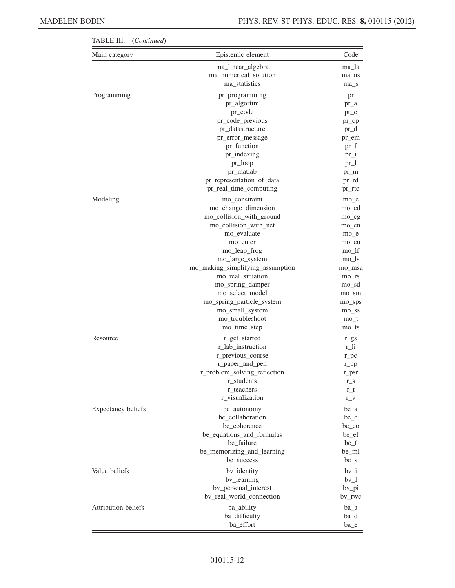| Main category              | Epistemic element                                     | Code           |
|----------------------------|-------------------------------------------------------|----------------|
|                            | ma_linear_algebra                                     | ma_la          |
|                            | ma_numerical_solution                                 | ma_ns          |
|                            | ma_statistics                                         | $ma_s$         |
| Programming                | pr_programming                                        | pr             |
|                            | pr_algoritm                                           | pr_a           |
|                            | pr_code                                               | $pr\_c$        |
|                            | pr_code_previous                                      | $pr\_cp$       |
|                            | pr_datastructure                                      | $pr_d$         |
|                            | pr_error_message                                      | pr_em          |
|                            | pr_function                                           | $pr_f$         |
|                            | pr_indexing                                           | $pr_i$         |
|                            | pr_loop                                               | $pr_1$         |
|                            | pr_matlab                                             | $pr_m$         |
|                            | pr_representation_of_data                             | $pr\_rd$       |
|                            | pr_real_time_computing                                | pr_rtc         |
| Modeling                   | mo constraint                                         | mo_c           |
|                            | mo_change_dimension                                   | mo_cd          |
|                            | mo_collision_with_ground                              | $mo_{g}$       |
|                            | mo_collision_with_net                                 | mo cn          |
|                            | mo evaluate                                           | mo_e           |
|                            | mo_euler                                              | mo_eu          |
|                            | mo_leap_frog                                          | mo_lf          |
|                            | mo_large_system                                       | mo_ls          |
|                            | mo_making_simplifying_assumption<br>mo_real_situation | mo_msa         |
|                            | mo_spring_damper                                      | mo_rs<br>mo_sd |
|                            | mo_select_model                                       | mo_sm          |
|                            | mo_spring_particle_system                             | mo_sps         |
|                            | mo_small_system                                       | mo_ss          |
|                            | mo_troubleshoot                                       | $mo_t$         |
|                            | mo_time_step                                          | mo_ts          |
| Resource                   | r_get_started                                         | $r_{gs}$       |
|                            | r_lab_instruction                                     | r_li           |
|                            | r_previous_course                                     | r_pc           |
|                            | r_paper_and_pen                                       | r_pp           |
|                            | r_problem_solving_reflection                          | r_psr          |
|                            | r_students                                            | $r_{S}$        |
|                            | r_teachers                                            | $r_t$          |
|                            | r_visualization                                       | $r_{\rm \_V}$  |
| Expectancy beliefs         | be_autonomy                                           | be_a           |
|                            | be_collaboration                                      | be_c           |
|                            | be_coherence                                          | be_co          |
|                            | be_equations_and_formulas                             | be_ef          |
|                            | be_failure                                            | be_f           |
|                            | be_memorizing_and_learning                            | be_ml          |
|                            | be_success                                            | be_s           |
| Value beliefs              | bv_identity                                           | $bv_i$         |
|                            | bv_learning                                           | $bv_l$         |
|                            | bv_personal_interest                                  | bv_pi          |
|                            | bv_real_world_connection                              | bv_rwc         |
| <b>Attribution beliefs</b> | ba_ability                                            | ba_a           |
|                            | ba_difficulty                                         | ba_d           |
|                            | ba_effort                                             |                |

# TABLE III. (Continued)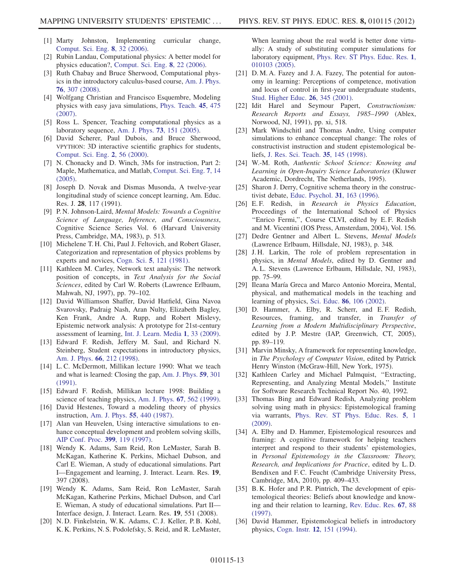- <span id="page-12-0"></span>[1] Marty Johnston, Implementing curricular change, [Comput. Sci. Eng.](http://dx.doi.org/10.1109/MCSE.2006.91) 8, 32 (2006).
- <span id="page-12-1"></span>[2] Rubin Landau, Computational physics: A better model for physics education?, [Comput. Sci. Eng.](http://dx.doi.org/10.1109/MCSE.2006.85) 8, 22 (2006).
- <span id="page-12-2"></span>[3] Ruth Chabay and Bruce Sherwood, Computational physics in the introductory calculus-based course, [Am. J. Phys.](http://dx.doi.org/10.1119/1.2835054) 76[, 307 \(2008\)](http://dx.doi.org/10.1119/1.2835054).
- <span id="page-12-16"></span>[4] Wolfgang Christian and Francisco Esquembre, Modeling physics with easy java simulations, [Phys. Teach.](http://dx.doi.org/10.1119/1.2798358) 45, 475 [\(2007\)](http://dx.doi.org/10.1119/1.2798358).
- [5] Ross L. Spencer, Teaching computational physics as a laboratory sequence, [Am. J. Phys.](http://dx.doi.org/10.1119/1.1842751) 73, 151 (2005).
- <span id="page-12-17"></span>[6] David Scherer, Paul Dubois, and Bruce Sherwood, VPYTHON: 3D interactive scientific graphics for students, [Comput. Sci. Eng.](http://dx.doi.org/10.1109/5992.877397) 2, 56 (2000).
- <span id="page-12-3"></span>[7] N. Chonacky and D. Winch, 3Ms for instruction, Part 2: Maple, Mathematica, and Matlab, [Comput. Sci. Eng.](http://dx.doi.org/10.1109/MCSE.2005.62) 7, 14 [\(2005\)](http://dx.doi.org/10.1109/MCSE.2005.62).
- <span id="page-12-4"></span>[8] Joseph D. Novak and Dismas Musonda, A twelve-year longitudinal study of science concept learning, Am. Educ. Res. J. 28, 117 (1991).
- <span id="page-12-5"></span>[9] P. N. Johnson-Laird, Mental Models: Towards a Cognitive Science of Language, Inference, and Consciousness, Cognitive Science Series Vol. 6 (Harvard University Press, Cambridge, MA, 1983), p. 513.
- <span id="page-12-6"></span>[10] Michelene T. H. Chi, Paul J. Feltovich, and Robert Glaser, Categorization and representation of physics problems by experts and novices, Cogn. Sci. 5[, 121 \(1981\)](http://dx.doi.org/10.1207/s15516709cog0502_2).
- <span id="page-12-7"></span>[11] Kathleen M. Carley, Network text analysis: The network position of concepts, in Text Analysis for the Social Sciences, edited by Carl W. Roberts (Lawrence Erlbaum, Mahwah, NJ, 1997), pp. 79–102.
- <span id="page-12-8"></span>[12] David Williamson Shaffer, David Hatfield, Gina Navoa Svarovsky, Padraig Nash, Aran Nulty, Elizabeth Bagley, Ken Frank, Andre A. Rupp, and Robert Mislevy, Epistemic network analysis: A prototype for 21st-century assessment of learning, [Int. J. Learn. Media](http://dx.doi.org/10.1162/ijlm.2009.0013) 1, 33 (2009).
- <span id="page-12-9"></span>[13] Edward F. Redish, Jeffery M. Saul, and Richard N. Steinberg, Student expectations in introductory physics, [Am. J. Phys.](http://dx.doi.org/10.1119/1.18847) 66, 212 (1998).
- <span id="page-12-10"></span>[14] L. C. McDermott, Millikan lecture 1990: What we teach and what is learned: Closing the gap, [Am. J. Phys.](http://dx.doi.org/10.1119/1.16539) 59, 301 [\(1991\)](http://dx.doi.org/10.1119/1.16539).
- <span id="page-12-11"></span>[15] Edward F. Redish, Millikan lecture 1998: Building a science of teaching physics, [Am. J. Phys.](http://dx.doi.org/10.1119/1.19326) 67, 562 (1999).
- <span id="page-12-12"></span>[16] David Hestenes, Toward a modeling theory of physics instruction, [Am. J. Phys.](http://dx.doi.org/10.1119/1.15129) 55, 440 (1987).
- <span id="page-12-13"></span>[17] Alan van Heuvelen, Using interactive simulations to enhance conceptual development and problem solving skills, [AIP Conf. Proc.](http://dx.doi.org/10.1063/1.53125) 399, 119 (1997).
- <span id="page-12-14"></span>[18] Wendy K. Adams, Sam Reid, Ron LeMaster, Sarah B. McKagan, Katherine K. Perkins, Michael Dubson, and Carl E. Wieman, A study of educational simulations. Part I—Engagement and learning, J. Interact. Learn. Res. 19, 397 (2008).
- [19] Wendy K. Adams, Sam Reid, Ron LeMaster, Sarah McKagan, Katherine Perkins, Michael Dubson, and Carl E. Wieman, A study of educational simulations. Part II— Interface design, J. Interact. Learn. Res. 19, 551 (2008).
- <span id="page-12-15"></span>[20] N. D. Finkelstein, W. K. Adams, C. J. Keller, P. B. Kohl, K. K. Perkins, N. S. Podolefsky, S. Reid, and R. LeMaster,

When learning about the real world is better done virtually: A study of substituting computer simulations for laboratory equipment, [Phys. Rev. ST Phys. Educ. Res.](http://dx.doi.org/10.1103/PhysRevSTPER.1.010103) 1, [010103 \(2005\).](http://dx.doi.org/10.1103/PhysRevSTPER.1.010103)

- <span id="page-12-18"></span>[21] D. M. A. Fazey and J. A. Fazey, The potential for autonomy in learning: Perceptions of competence, motivation and locus of control in first-year undergraduate students, [Stud. Higher Educ.](http://dx.doi.org/10.1080/03075070120076309) 26, 345 (2001).
- <span id="page-12-19"></span>[22] Idit Harel and Seymour Papert, Constructionism: Research Reports and Essays, 1985–1990 (Ablex, Norwood, NJ, 1991), pp. xi, 518.
- <span id="page-12-20"></span>[23] Mark Windschitl and Thomas Andre, Using computer simulations to enhance conceptual change: The roles of constructivist instruction and student epistemological beliefs, [J. Res. Sci. Teach.](http://dx.doi.org/10.1002/(SICI)1098-2736(199802)35:2%3C145::AID-TEA5%3E3.0.CO;2-S) 35, 145 (1998).
- <span id="page-12-21"></span>[24] W.-M. Roth, Authentic School Science: Knowing and Learning in Open-Inquiry Science Laboratories (Kluwer Academic, Dordrecht, The Netherlands, 1995).
- <span id="page-12-22"></span>[25] Sharon J. Derry, Cognitive schema theory in the constructivist debate, [Educ. Psychol.](http://dx.doi.org/10.1080/00461520.1996.9653264) 31, 163 (1996).
- <span id="page-12-23"></span>[26] E.F. Redish, in Research in Physics Education, Proceedings of the International School of Physics ''Enrico Fermi,'', Course CLVI, edited by E. F. Redish and M. Vicentini (IOS Press, Amsterdam, 2004), Vol. 156.
- <span id="page-12-24"></span>[27] Dedre Gentner and Albert L. Stevens, Mental Models (Lawrence Erlbaum, Hillsdale, NJ, 1983), p. 348.
- [28] J.H. Larkin, The role of problem representation in physics, in Mental Models, edited by D. Gentner and A. L. Stevens (Lawrence Erlbaum, Hillsdale, NJ, 1983), pp. 75–99.
- <span id="page-12-25"></span>[29] Ileana María Greca and Marco Antonio Moreira, Mental, physical, and mathematical models in the teaching and learning of physics, Sci. Educ. 86[, 106 \(2002\)](http://dx.doi.org/10.1002/sce.10013).
- <span id="page-12-26"></span>[30] D. Hammer, A. Elby, R. Scherr, and E.F. Redish, Resources, framing, and transfer, in Transfer of Learning from a Modern Multidisciplinary Perspective, edited by J.P. Mestre (IAP, Greenwich, CT, 2005), pp. 89–119.
- <span id="page-12-27"></span>[31] Marvin Minsky, A framework for representing knowledge, in The Psychology of Computer Vision, edited by Patrick Henry Winston (McGraw-Hill, New York, 1975).
- <span id="page-12-28"></span>[32] Kathleen Carley and Michael Palmquist, ''Extracting, Representing, and Analyzing Mental Models,'' Institute for Software Research Technical Report No. 40, 1992.
- <span id="page-12-29"></span>[33] Thomas Bing and Edward Redish, Analyzing problem solving using math in physics: Epistemological framing via warrants, [Phys. Rev. ST Phys. Educ. Res.](http://dx.doi.org/10.1103/PhysRevSTPER.5.020108) 5, 1 [\(2009\)](http://dx.doi.org/10.1103/PhysRevSTPER.5.020108).
- <span id="page-12-30"></span>[34] A. Elby and D. Hammer, Epistemological resources and framing: A cognitive framework for helping teachers interpret and respond to their students' epistemologies, in Personal Epistemology in the Classroom: Theory, Research, and Implications for Practice, edited by L. D. Bendixen and F. C. Feucht (Cambridge University Press, Cambridge, MA, 2010), pp. 409–433.
- <span id="page-12-31"></span>[35] B. K. Hofer and P. R. Pintrich, The development of epistemological theories: Beliefs about knowledge and knowing and their relation to learning, [Rev. Educ. Res.](http://dx.doi.org/10.3102/00346543067001088) 67, 88 [\(1997\)](http://dx.doi.org/10.3102/00346543067001088).
- <span id="page-12-32"></span>[36] David Hammer, Epistemological beliefs in introductory physics, Cogn. Instr. 12[, 151 \(1994\)](http://dx.doi.org/10.1207/s1532690xci1202_4).